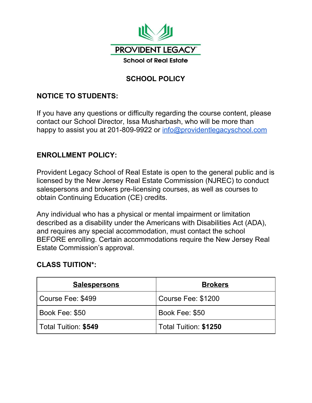

# **SCHOOL POLICY**

## **NOTICE TO STUDENTS:**

If you have any questions or difficulty regarding the course content, please contact our School Director, Issa Musharbash, who will be more than happy to assist you at 201-809-9922 or [info@providentlegacyschool.com](mailto:info@providentlegacyschool.com)

#### **ENROLLMENT POLICY:**

Provident Legacy School of Real Estate is open to the general public and is licensed by the New Jersey Real Estate Commission (NJREC) to conduct salespersons and brokers pre-licensing courses, as well as courses to obtain Continuing Education (CE) credits.

Any individual who has a physical or mental impairment or limitation described as a disability under the Americans with Disabilities Act (ADA), and requires any special accommodation, must contact the school BEFORE enrolling. Certain accommodations require the New Jersey Real Estate Commission's approval.

## **CLASS TUITION\*:**

| <b>Salespersons</b>  | <b>Brokers</b>        |
|----------------------|-----------------------|
| Course Fee: \$499    | Course Fee: \$1200    |
| Book Fee: \$50       | Book Fee: \$50        |
| Total Tuition: \$549 | Total Tuition: \$1250 |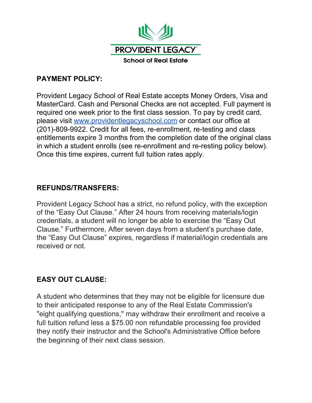

## **PAYMENT POLICY:**

Provident Legacy School of Real Estate accepts Money Orders, Visa and MasterCard. Cash and Personal Checks are not accepted. Full payment is required one week prior to the first class session. To pay by credit card, please visit [www.providentlegacyschool.com](http://www.providentlegacyschool.com/) or contact our office at (201)-809-9922. Credit for all fees, re-enrollment, re-testing and class entitlements expire 3 months from the completion date of the original class in which a student enrolls (see re-enrollment and re-resting policy below). Once this time expires, current full tuition rates apply.

## **REFUNDS/TRANSFERS:**

Provident Legacy School has a strict, no refund policy, with the exception of the "Easy Out Clause." After 24 hours from receiving materials/login credentials, a student will no longer be able to exercise the "Easy Out Clause." Furthermore, After seven days from a student's purchase date, the "Easy Out Clause" expires, regardless if material/login credentials are received or not.

# **EASY OUT CLAUSE:**

A student who determines that they may not be eligible for licensure due to their anticipated response to any of the Real Estate Commission's "eight qualifying questions," may withdraw their enrollment and receive a full tuition refund less a \$75.00 non refundable processing fee provided they notify their instructor and the School's Administrative Office before the beginning of their next class session.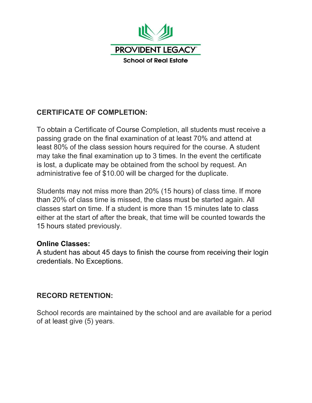

# **CERTIFICATE OF COMPLETION:**

To obtain a Certificate of Course Completion, all students must receive a passing grade on the final examination of at least 70% and attend at least 80% of the class session hours required for the course. A student may take the final examination up to 3 times. In the event the certificate is lost, a duplicate may be obtained from the school by request. An administrative fee of \$10.00 will be charged for the duplicate.

Students may not miss more than 20% (15 hours) of class time. If more than 20% of class time is missed, the class must be started again. All classes start on time. If a student is more than 15 minutes late to class either at the start of after the break, that time will be counted towards the 15 hours stated previously.

#### **Online Classes:**

A student has about 45 days to finish the course from receiving their login credentials. No Exceptions.

# **RECORD RETENTION:**

School records are maintained by the school and are available for a period of at least give (5) years.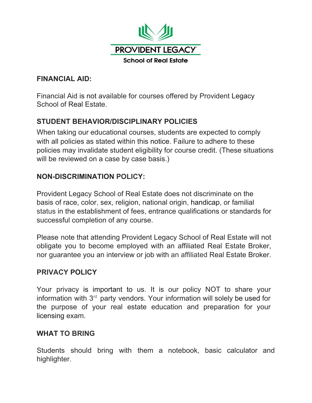

## **FINANCIAL AID:**

Financial Aid is not available for courses offered by Provident Legacy School of Real Estate.

# **STUDENT BEHAVIOR/DISCIPLINARY POLICIES**

When taking our educational courses, students are expected to comply with all policies as stated within this notice. Failure to adhere to these policies may invalidate student eligibility for course credit. (These situations will be reviewed on a case by case basis.)

## **NON-DISCRIMINATION POLICY:**

Provident Legacy School of Real Estate does not discriminate on the basis of race, color, sex, religion, national origin, handicap, or familial status in the establishment of fees, entrance qualifications or standards for successful completion of any course.

Please note that attending Provident Legacy School of Real Estate will not obligate you to become employed with an affiliated Real Estate Broker, nor guarantee you an interview or job with an affiliated Real Estate Broker.

## **PRIVACY POLICY**

Your privacy is important to us. It is our policy NOT to share your information with  $3<sup>rd</sup>$  party vendors. Your information will solely be used for the purpose of your real estate education and preparation for your licensing exam.

## **WHAT TO BRING**

Students should bring with them a notebook, basic calculator and highlighter.